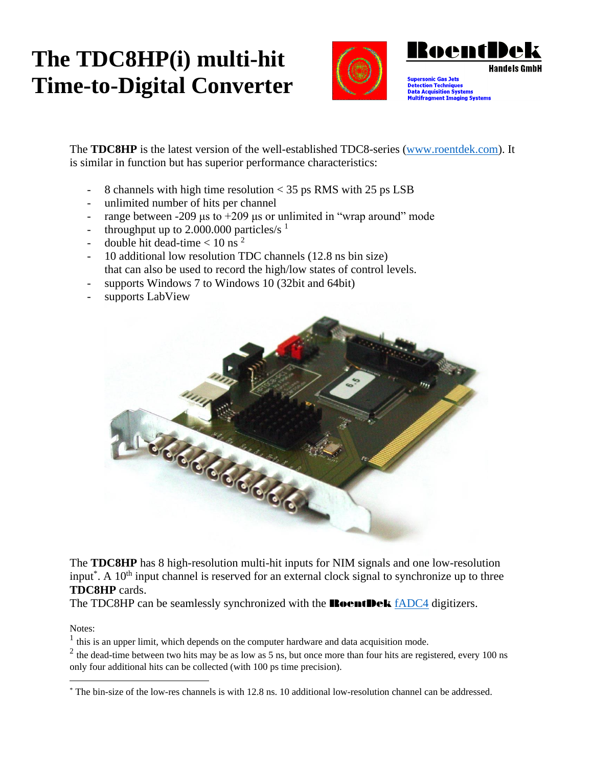## **The TDC8HP(i) multi-hit Time-to-Digital Converter**



The **TDC8HP** is the latest version of the well-established TDC8-series [\(www.roentdek.com\)](http://www.roentdek.com/). It is similar in function but has superior performance characteristics:

- 8 channels with high time resolution < 35 ps RMS with 25 ps LSB
- unlimited number of hits per channel
- range between -209 μs to  $+209$  μs or unlimited in "wrap around" mode
- throughput up to 2.000.000 particles/s  $1$
- double hit dead-time  $< 10$  ns<sup>2</sup>
- 10 additional low resolution TDC channels (12.8 ns bin size) that can also be used to record the high/low states of control levels.
- supports Windows 7 to Windows 10 (32bit and 64bit)
- supports LabView



The **TDC8HP** has 8 high-resolution multi-hit inputs for NIM signals and one low-resolution input<sup>\*</sup>. A 10<sup>th</sup> input channel is reserved for an external clock signal to synchronize up to three **TDC8HP** cards.

The TDC8HP can be seamlessly synchronized with the **RoentDek** [fADC4](http://www.roentdek.com/products/electronics_description/fADC4%20%20description.pdf) digitizers.

Notes:

 $<sup>1</sup>$  this is an upper limit, which depends on the computer hardware and data acquisition mode.</sup>

<sup>2</sup> the dead-time between two hits may be as low as 5 ns, but once more than four hits are registered, every 100 ns only four additional hits can be collected (with 100 ps time precision).

<sup>\*</sup> The bin-size of the low-res channels is with 12.8 ns. 10 additional low-resolution channel can be addressed.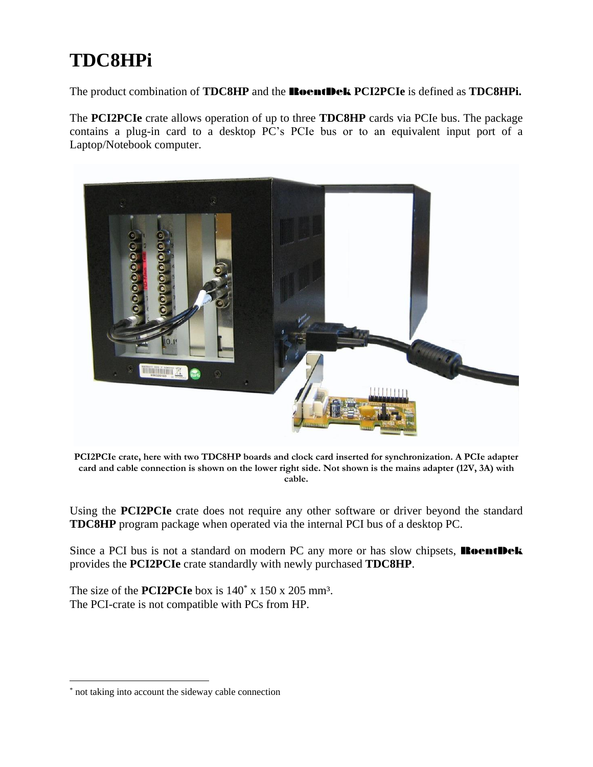## **TDC8HPi**

The product combination of **TDC8HP** and the RoentDek **PCI2PCIe** is defined as **TDC8HPi.**

The **PCI2PCIe** crate allows operation of up to three **TDC8HP** cards via PCIe bus. The package contains a plug-in card to a desktop PC's PCIe bus or to an equivalent input port of a Laptop/Notebook computer.



**PCI2PCIe crate, here with two TDC8HP boards and clock card inserted for synchronization. A PCIe adapter card and cable connection is shown on the lower right side. Not shown is the mains adapter (12V, 3A) with cable.**

Using the **PCI2PCIe** crate does not require any other software or driver beyond the standard **TDC8HP** program package when operated via the internal PCI bus of a desktop PC.

Since a PCI bus is not a standard on modern PC any more or has slow chipsets, **RoentDek** provides the **PCI2PCIe** crate standardly with newly purchased **TDC8HP**.

The size of the **PCI2PCIe** box is  $140^{\circ}$  x  $150$  x  $205$  mm<sup>3</sup>. The PCI-crate is not compatible with PCs from HP.

<sup>\*</sup> not taking into account the sideway cable connection